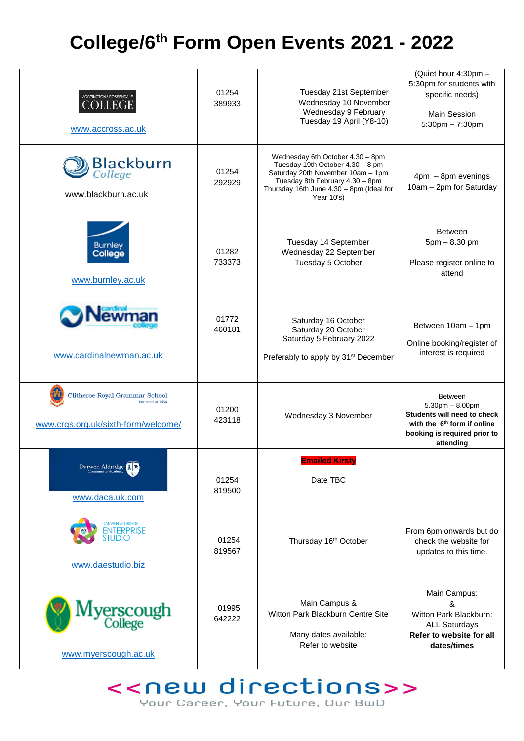## **College/6th Form Open Events 2021 - 2022**

| ACCRINGTON & ROSSENDALE<br><b>COLLEGE</b><br>www.accross.ac.uk                                  | 01254<br>389933 | Tuesday 21st September<br>Wednesday 10 November<br>Wednesday 9 February<br>Tuesday 19 April (Y8-10)                                                                                                    | (Quiet hour 4:30pm -<br>5:30pm for students with<br>specific needs)<br><b>Main Session</b><br>$5:30$ pm $-7:30$ pm                                             |
|-------------------------------------------------------------------------------------------------|-----------------|--------------------------------------------------------------------------------------------------------------------------------------------------------------------------------------------------------|----------------------------------------------------------------------------------------------------------------------------------------------------------------|
| <b>Blackburn</b><br>College<br>www.blackburn.ac.uk                                              | 01254<br>292929 | Wednesday 6th October 4.30 - 8pm<br>Tuesday 19th October 4.30 - 8 pm<br>Saturday 20th November 10am - 1pm<br>Tuesday 8th February 4.30 - 8pm<br>Thursday 16th June 4.30 - 8pm (Ideal for<br>Year 10's) | $4 \text{pm} - 8 \text{pm}$ evenings<br>10am - 2pm for Saturday                                                                                                |
| <b>Burnley</b><br>College<br>www.burnley.ac.uk                                                  | 01282<br>733373 | Tuesday 14 September<br>Wednesday 22 September<br>Tuesday 5 October                                                                                                                                    | <b>Between</b><br>$5pm - 8.30pm$<br>Please register online to<br>attend                                                                                        |
| www.cardinalnewman.ac.uk                                                                        | 01772<br>460181 | Saturday 16 October<br>Saturday 20 October<br>Saturday 5 February 2022<br>Preferably to apply by 31 <sup>st</sup> December                                                                             | Between 10am - 1pm<br>Online booking/register of<br>interest is required                                                                                       |
| <b>Clitheroe Royal Grammar School</b><br>Founded in 1554<br>www.crgs.org.uk/sixth-form/welcome/ | 01200<br>423118 | Wednesday 3 November                                                                                                                                                                                   | <b>Between</b><br>$5.30$ pm $- 8.00$ pm<br>Students will need to check<br>with the 6 <sup>th</sup> form if online<br>booking is required prior to<br>attending |
| Darwen Aldridge<br>www.daca.uk.com                                                              | 01254<br>819500 | <b>Emailed Kirsty</b><br>Date TBC                                                                                                                                                                      |                                                                                                                                                                |
| DARWEN ALDRIDGE<br><b>ENTERPRISE</b><br>STUDIO<br>www.daestudio.biz                             | 01254<br>819567 | Thursday 16 <sup>th</sup> October                                                                                                                                                                      | From 6pm onwards but do<br>check the website for<br>updates to this time.                                                                                      |
| Ayerscough<br><sup>College</sup><br>www.myerscough.ac.uk                                        | 01995<br>642222 | Main Campus &<br>Witton Park Blackburn Centre Site<br>Many dates available:<br>Refer to website                                                                                                        | Main Campus:<br>&<br>Witton Park Blackburn:<br><b>ALL Saturdays</b><br>Refer to website for all<br>dates/times                                                 |

## << new directions>> Your Career, Your Future, Our BwD